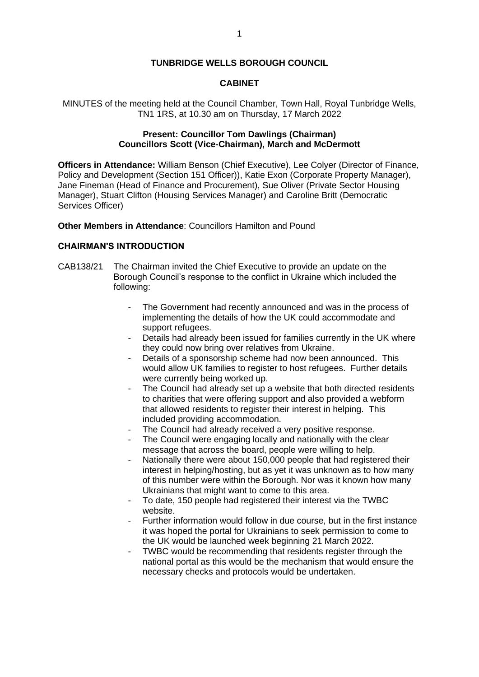## **TUNBRIDGE WELLS BOROUGH COUNCIL**

## **CABINET**

MINUTES of the meeting held at the Council Chamber, Town Hall, Royal Tunbridge Wells, TN1 1RS, at 10.30 am on Thursday, 17 March 2022

## **Present: Councillor Tom Dawlings (Chairman) Councillors Scott (Vice-Chairman), March and McDermott**

**Officers in Attendance:** William Benson (Chief Executive), Lee Colyer (Director of Finance, Policy and Development (Section 151 Officer)), Katie Exon (Corporate Property Manager), Jane Fineman (Head of Finance and Procurement), Sue Oliver (Private Sector Housing Manager), Stuart Clifton (Housing Services Manager) and Caroline Britt (Democratic Services Officer)

**Other Members in Attendance**: Councillors Hamilton and Pound

### **CHAIRMAN'S INTRODUCTION**

- CAB138/21 The Chairman invited the Chief Executive to provide an update on the Borough Council's response to the conflict in Ukraine which included the following:
	- The Government had recently announced and was in the process of implementing the details of how the UK could accommodate and support refugees.
	- Details had already been issued for families currently in the UK where they could now bring over relatives from Ukraine.
	- Details of a sponsorship scheme had now been announced. This would allow UK families to register to host refugees. Further details were currently being worked up.
	- The Council had already set up a website that both directed residents to charities that were offering support and also provided a webform that allowed residents to register their interest in helping. This included providing accommodation.
	- The Council had already received a very positive response.
	- The Council were engaging locally and nationally with the clear message that across the board, people were willing to help.
	- Nationally there were about 150,000 people that had registered their interest in helping/hosting, but as yet it was unknown as to how many of this number were within the Borough. Nor was it known how many Ukrainians that might want to come to this area.
	- To date, 150 people had registered their interest via the TWBC website.
	- Further information would follow in due course, but in the first instance it was hoped the portal for Ukrainians to seek permission to come to the UK would be launched week beginning 21 March 2022.
	- TWBC would be recommending that residents register through the national portal as this would be the mechanism that would ensure the necessary checks and protocols would be undertaken.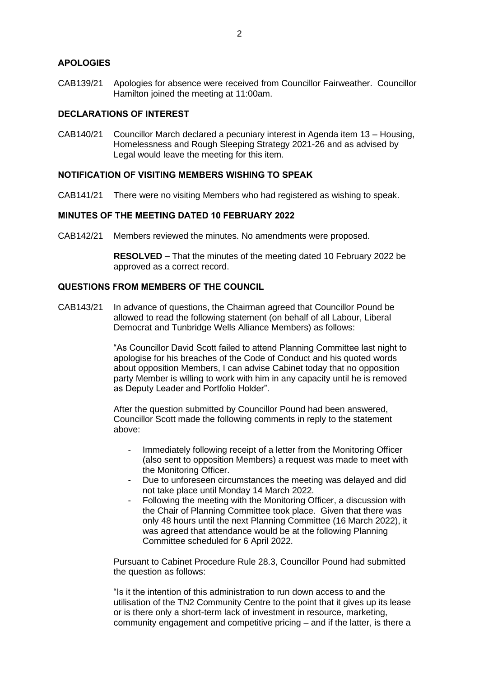## **APOLOGIES**

CAB139/21 Apologies for absence were received from Councillor Fairweather. Councillor Hamilton joined the meeting at 11:00am.

## **DECLARATIONS OF INTEREST**

CAB140/21 Councillor March declared a pecuniary interest in Agenda item 13 – Housing, Homelessness and Rough Sleeping Strategy 2021-26 and as advised by Legal would leave the meeting for this item.

# **NOTIFICATION OF VISITING MEMBERS WISHING TO SPEAK**

CAB141/21 There were no visiting Members who had registered as wishing to speak.

## **MINUTES OF THE MEETING DATED 10 FEBRUARY 2022**

CAB142/21 Members reviewed the minutes. No amendments were proposed.

**RESOLVED –** That the minutes of the meeting dated 10 February 2022 be approved as a correct record.

# **QUESTIONS FROM MEMBERS OF THE COUNCIL**

CAB143/21 In advance of questions, the Chairman agreed that Councillor Pound be allowed to read the following statement (on behalf of all Labour, Liberal Democrat and Tunbridge Wells Alliance Members) as follows:

> "As Councillor David Scott failed to attend Planning Committee last night to apologise for his breaches of the Code of Conduct and his quoted words about opposition Members, I can advise Cabinet today that no opposition party Member is willing to work with him in any capacity until he is removed as Deputy Leader and Portfolio Holder".

After the question submitted by Councillor Pound had been answered, Councillor Scott made the following comments in reply to the statement above:

- Immediately following receipt of a letter from the Monitoring Officer (also sent to opposition Members) a request was made to meet with the Monitoring Officer.
- Due to unforeseen circumstances the meeting was delayed and did not take place until Monday 14 March 2022.
- Following the meeting with the Monitoring Officer, a discussion with the Chair of Planning Committee took place. Given that there was only 48 hours until the next Planning Committee (16 March 2022), it was agreed that attendance would be at the following Planning Committee scheduled for 6 April 2022.

Pursuant to Cabinet Procedure Rule 28.3, Councillor Pound had submitted the question as follows:

"Is it the intention of this administration to run down access to and the utilisation of the TN2 Community Centre to the point that it gives up its lease or is there only a short-term lack of investment in resource, marketing, community engagement and competitive pricing – and if the latter, is there a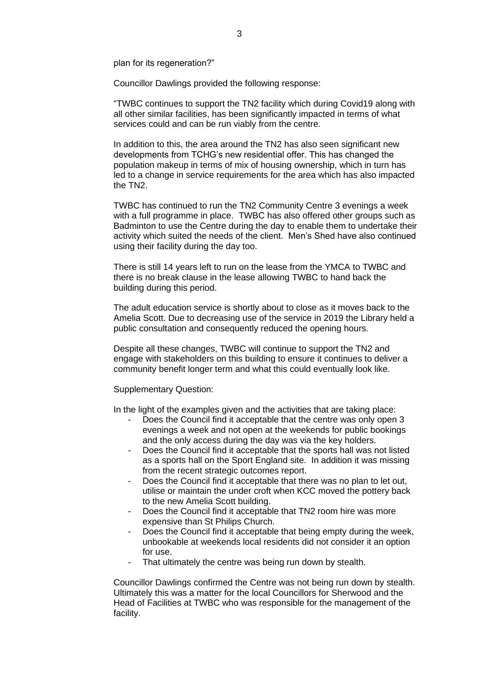plan for its regeneration?"

Councillor Dawlings provided the following response:

"TWBC continues to support the TN2 facility which during Covid19 along with all other similar facilities, has been significantly impacted in terms of what services could and can be run viably from the centre.

In addition to this, the area around the TN2 has also seen significant new developments from TCHG's new residential offer. This has changed the population makeup in terms of mix of housing ownership, which in turn has led to a change in service requirements for the area which has also impacted the TN2.

TWBC has continued to run the TN2 Community Centre 3 evenings a week with a full programme in place. TWBC has also offered other groups such as Badminton to use the Centre during the day to enable them to undertake their activity which suited the needs of the client. Men's Shed have also continued using their facility during the day too.

There is still 14 years left to run on the lease from the YMCA to TWBC and there is no break clause in the lease allowing TWBC to hand back the building during this period.

The adult education service is shortly about to close as it moves back to the Amelia Scott. Due to decreasing use of the service in 2019 the Library held a public consultation and consequently reduced the opening hours.

Despite all these changes, TWBC will continue to support the TN2 and engage with stakeholders on this building to ensure it continues to deliver a community benefit longer term and what this could eventually look like.

Supplementary Question:

In the light of the examples given and the activities that are taking place:

- Does the Council find it acceptable that the centre was only open 3 evenings a week and not open at the weekends for public bookings and the only access during the day was via the key holders.
- Does the Council find it acceptable that the sports hall was not listed as a sports hall on the Sport England site. In addition it was missing from the recent strategic outcomes report.
- Does the Council find it acceptable that there was no plan to let out, utilise or maintain the under croft when KCC moved the pottery back to the new Amelia Scott building.
- Does the Council find it acceptable that TN2 room hire was more expensive than St Philips Church.
- Does the Council find it acceptable that being empty during the week, unbookable at weekends local residents did not consider it an option for use.
- That ultimately the centre was being run down by stealth.

Councillor Dawlings confirmed the Centre was not being run down by stealth. Ultimately this was a matter for the local Councillors for Sherwood and the Head of Facilities at TWBC who was responsible for the management of the facility.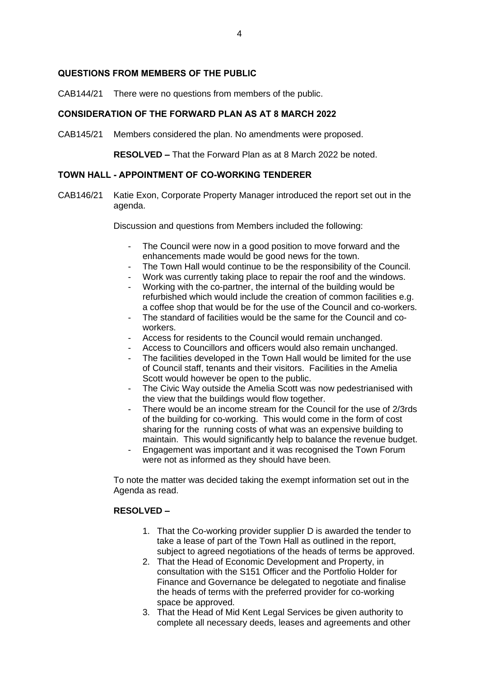# **QUESTIONS FROM MEMBERS OF THE PUBLIC**

CAB144/21 There were no questions from members of the public.

# **CONSIDERATION OF THE FORWARD PLAN AS AT 8 MARCH 2022**

CAB145/21 Members considered the plan. No amendments were proposed.

**RESOLVED –** That the Forward Plan as at 8 March 2022 be noted.

## **TOWN HALL - APPOINTMENT OF CO-WORKING TENDERER**

CAB146/21 Katie Exon, Corporate Property Manager introduced the report set out in the agenda.

Discussion and questions from Members included the following:

- The Council were now in a good position to move forward and the enhancements made would be good news for the town.
- The Town Hall would continue to be the responsibility of the Council.
- Work was currently taking place to repair the roof and the windows.
- Working with the co-partner, the internal of the building would be refurbished which would include the creation of common facilities e.g. a coffee shop that would be for the use of the Council and co-workers.
- The standard of facilities would be the same for the Council and coworkers.
- Access for residents to the Council would remain unchanged.
- Access to Councillors and officers would also remain unchanged.
- The facilities developed in the Town Hall would be limited for the use of Council staff, tenants and their visitors. Facilities in the Amelia Scott would however be open to the public.
- The Civic Way outside the Amelia Scott was now pedestrianised with the view that the buildings would flow together.
- There would be an income stream for the Council for the use of 2/3rds of the building for co-working. This would come in the form of cost sharing for the running costs of what was an expensive building to maintain. This would significantly help to balance the revenue budget.
- Engagement was important and it was recognised the Town Forum were not as informed as they should have been.

To note the matter was decided taking the exempt information set out in the Agenda as read.

### **RESOLVED –**

- 1. That the Co-working provider supplier D is awarded the tender to take a lease of part of the Town Hall as outlined in the report, subject to agreed negotiations of the heads of terms be approved.
- 2. That the Head of Economic Development and Property, in consultation with the S151 Officer and the Portfolio Holder for Finance and Governance be delegated to negotiate and finalise the heads of terms with the preferred provider for co-working space be approved.
- 3. That the Head of Mid Kent Legal Services be given authority to complete all necessary deeds, leases and agreements and other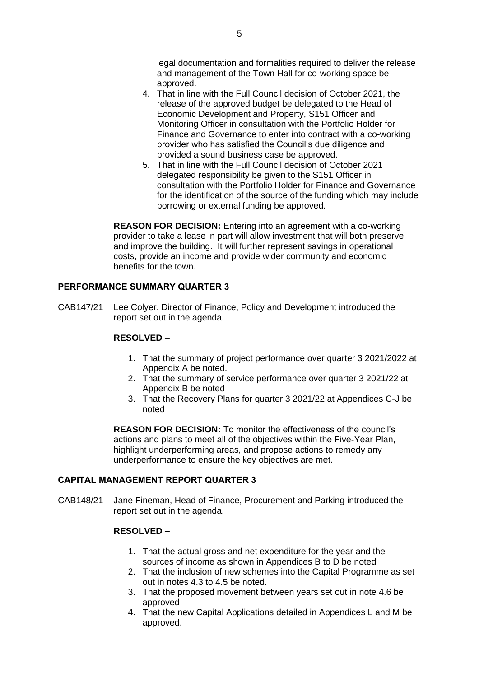legal documentation and formalities required to deliver the release and management of the Town Hall for co-working space be approved.

- 4. That in line with the Full Council decision of October 2021, the release of the approved budget be delegated to the Head of Economic Development and Property, S151 Officer and Monitoring Officer in consultation with the Portfolio Holder for Finance and Governance to enter into contract with a co-working provider who has satisfied the Council's due diligence and provided a sound business case be approved.
- 5. That in line with the Full Council decision of October 2021 delegated responsibility be given to the S151 Officer in consultation with the Portfolio Holder for Finance and Governance for the identification of the source of the funding which may include borrowing or external funding be approved.

**REASON FOR DECISION:** Entering into an agreement with a co-working provider to take a lease in part will allow investment that will both preserve and improve the building. It will further represent savings in operational costs, provide an income and provide wider community and economic benefits for the town.

# **PERFORMANCE SUMMARY QUARTER 3**

CAB147/21 Lee Colyer, Director of Finance, Policy and Development introduced the report set out in the agenda.

## **RESOLVED –**

- 1. That the summary of project performance over quarter 3 2021/2022 at Appendix A be noted.
- 2. That the summary of service performance over quarter 3 2021/22 at Appendix B be noted
- 3. That the Recovery Plans for quarter 3 2021/22 at Appendices C-J be noted

**REASON FOR DECISION:** To monitor the effectiveness of the council's actions and plans to meet all of the objectives within the Five-Year Plan, highlight underperforming areas, and propose actions to remedy any underperformance to ensure the key objectives are met.

## **CAPITAL MANAGEMENT REPORT QUARTER 3**

CAB148/21 Jane Fineman, Head of Finance, Procurement and Parking introduced the report set out in the agenda.

### **RESOLVED –**

- 1. That the actual gross and net expenditure for the year and the sources of income as shown in Appendices B to D be noted
- 2. That the inclusion of new schemes into the Capital Programme as set out in notes 4.3 to 4.5 be noted.
- 3. That the proposed movement between years set out in note 4.6 be approved
- 4. That the new Capital Applications detailed in Appendices L and M be approved.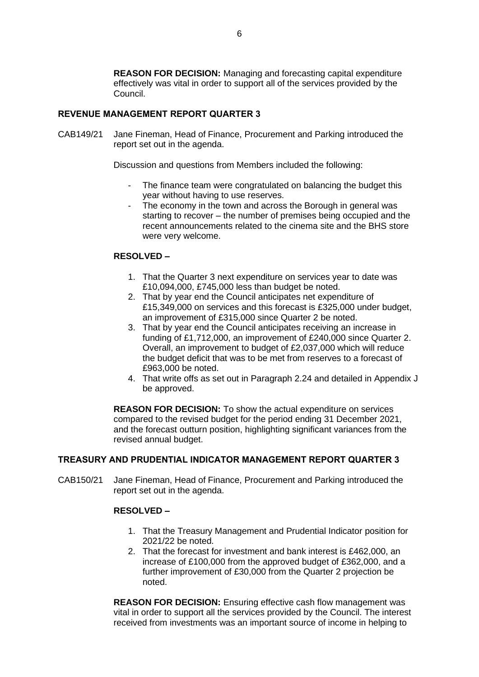**REASON FOR DECISION:** Managing and forecasting capital expenditure effectively was vital in order to support all of the services provided by the Council.

# **REVENUE MANAGEMENT REPORT QUARTER 3**

CAB149/21 Jane Fineman, Head of Finance, Procurement and Parking introduced the report set out in the agenda.

Discussion and questions from Members included the following:

- The finance team were congratulated on balancing the budget this year without having to use reserves.
- The economy in the town and across the Borough in general was starting to recover – the number of premises being occupied and the recent announcements related to the cinema site and the BHS store were very welcome.

## **RESOLVED –**

- 1. That the Quarter 3 next expenditure on services year to date was £10,094,000, £745,000 less than budget be noted.
- 2. That by year end the Council anticipates net expenditure of £15,349,000 on services and this forecast is £325,000 under budget, an improvement of £315,000 since Quarter 2 be noted.
- 3. That by year end the Council anticipates receiving an increase in funding of £1,712,000, an improvement of £240,000 since Quarter 2. Overall, an improvement to budget of £2,037,000 which will reduce the budget deficit that was to be met from reserves to a forecast of £963,000 be noted.
- 4. That write offs as set out in Paragraph 2.24 and detailed in Appendix J be approved.

**REASON FOR DECISION:** To show the actual expenditure on services compared to the revised budget for the period ending 31 December 2021, and the forecast outturn position, highlighting significant variances from the revised annual budget.

### **TREASURY AND PRUDENTIAL INDICATOR MANAGEMENT REPORT QUARTER 3**

CAB150/21 Jane Fineman, Head of Finance, Procurement and Parking introduced the report set out in the agenda.

### **RESOLVED –**

- 1. That the Treasury Management and Prudential Indicator position for 2021/22 be noted.
- 2. That the forecast for investment and bank interest is £462,000, an increase of £100,000 from the approved budget of £362,000, and a further improvement of £30,000 from the Quarter 2 projection be noted.

**REASON FOR DECISION:** Ensuring effective cash flow management was vital in order to support all the services provided by the Council. The interest received from investments was an important source of income in helping to